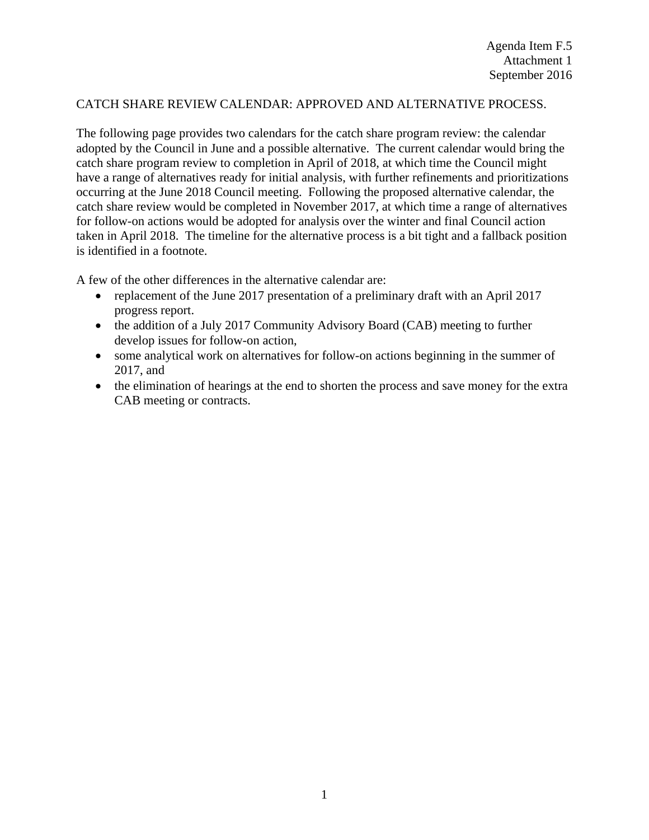## CATCH SHARE REVIEW CALENDAR: APPROVED AND ALTERNATIVE PROCESS.

The following page provides two calendars for the catch share program review: the calendar adopted by the Council in June and a possible alternative. The current calendar would bring the catch share program review to completion in April of 2018, at which time the Council might have a range of alternatives ready for initial analysis, with further refinements and prioritizations occurring at the June 2018 Council meeting. Following the proposed alternative calendar, the catch share review would be completed in November 2017, at which time a range of alternatives for follow-on actions would be adopted for analysis over the winter and final Council action taken in April 2018. The timeline for the alternative process is a bit tight and a fallback position is identified in a footnote.

A few of the other differences in the alternative calendar are:

- replacement of the June 2017 presentation of a preliminary draft with an April 2017 progress report.
- the addition of a July 2017 Community Advisory Board (CAB) meeting to further develop issues for follow-on action,
- some analytical work on alternatives for follow-on actions beginning in the summer of 2017, and
- the elimination of hearings at the end to shorten the process and save money for the extra CAB meeting or contracts.